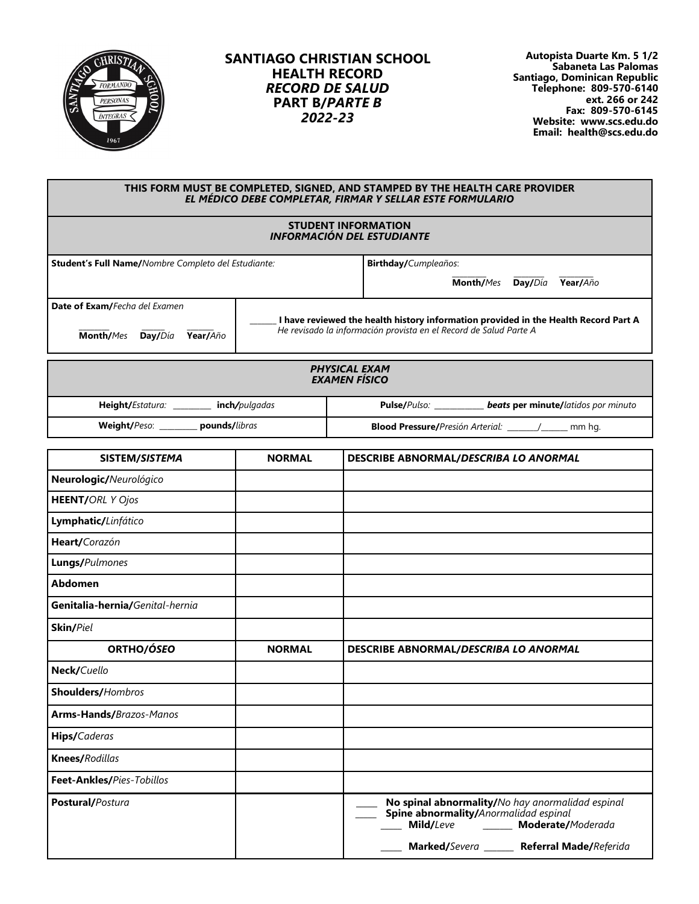

## **SANTIAGO CHRISTIAN SCHOOL HEALTH RECORD** *RECORD DE SALUD* **PART B/***PARTE B 2022-23*

**Autopista Duarte Km. 5 1/2 Sabaneta Las Palomas Santiago, Dominican Republic Telephone: 809-570-6140 ext. 266 or 242 Fax: 809-570-6145 Website: www.scs.edu.do Email: health@scs.edu.do**

| THIS FORM MUST BE COMPLETED, SIGNED, AND STAMPED BY THE HEALTH CARE PROVIDER<br>EL MÉDICO DEBE COMPLETAR, FIRMAR Y SELLAR ESTE FORMULARIO |                                                                                                                                                          |                                            |           |         |                                            |  |
|-------------------------------------------------------------------------------------------------------------------------------------------|----------------------------------------------------------------------------------------------------------------------------------------------------------|--------------------------------------------|-----------|---------|--------------------------------------------|--|
| <b>STUDENT INFORMATION</b><br><b>INFORMACIÓN DEL ESTUDIANTE</b>                                                                           |                                                                                                                                                          |                                            |           |         |                                            |  |
| <b>Student's Full Name/</b> Nombre Completo del Estudiante:                                                                               |                                                                                                                                                          | <b>Birthday/Cumpleaños:</b>                |           |         |                                            |  |
|                                                                                                                                           |                                                                                                                                                          |                                            | Month/Mes | Day/Día | Year/Año                                   |  |
| Date of Exam/Fecha del Examen<br>Month/Mes<br>Day/Día<br>Year/Año                                                                         | I have reviewed the health history information provided in the Health Record Part A<br>He revisado la información provista en el Record de Salud Parte A |                                            |           |         |                                            |  |
| <b>PHYSICAL EXAM</b><br><b>EXAMEN FÍSICO</b>                                                                                              |                                                                                                                                                          |                                            |           |         |                                            |  |
| <b>Height/Estatura:</b><br>inch/pulgadas                                                                                                  |                                                                                                                                                          | <b>Pulse/</b> Pulso:                       |           |         | <b>beats per minute/latidos por minuto</b> |  |
| Weight/Peso: __________ pounds/libras                                                                                                     |                                                                                                                                                          | <b>Blood Pressure/</b> Presión Arterial: / |           |         | mm ha.                                     |  |

| SISTEM/SISTEMA                  | <b>NORMAL</b> | DESCRIBE ABNORMAL/DESCRIBA LO ANORMAL                                                                                                                                           |  |
|---------------------------------|---------------|---------------------------------------------------------------------------------------------------------------------------------------------------------------------------------|--|
| Neurologic/Neurológico          |               |                                                                                                                                                                                 |  |
| <b>HEENT/ORL Y Ojos</b>         |               |                                                                                                                                                                                 |  |
| Lymphatic/Linfático             |               |                                                                                                                                                                                 |  |
| Heart/Corazón                   |               |                                                                                                                                                                                 |  |
| Lungs/Pulmones                  |               |                                                                                                                                                                                 |  |
| <b>Abdomen</b>                  |               |                                                                                                                                                                                 |  |
| Genitalia-hernia/Genital-hernia |               |                                                                                                                                                                                 |  |
| Skin/Piel                       |               |                                                                                                                                                                                 |  |
| ORTHO/ÓSEO                      | <b>NORMAL</b> | DESCRIBE ABNORMAL/DESCRIBA LO ANORMAL                                                                                                                                           |  |
| Neck/Cuello                     |               |                                                                                                                                                                                 |  |
| Shoulders/Hombros               |               |                                                                                                                                                                                 |  |
| Arms-Hands/Brazos-Manos         |               |                                                                                                                                                                                 |  |
| Hips/Caderas                    |               |                                                                                                                                                                                 |  |
| Knees/Rodillas                  |               |                                                                                                                                                                                 |  |
| Feet-Ankles/Pies-Tobillos       |               |                                                                                                                                                                                 |  |
| Postural/Postura                |               | No spinal abnormality/No hay anormalidad espinal<br>Spine abnormality/Anormalidad espinal<br>Mild/Leve _______ Moderate/Moderada<br>Marked/Severa ______ Referral Made/Referida |  |